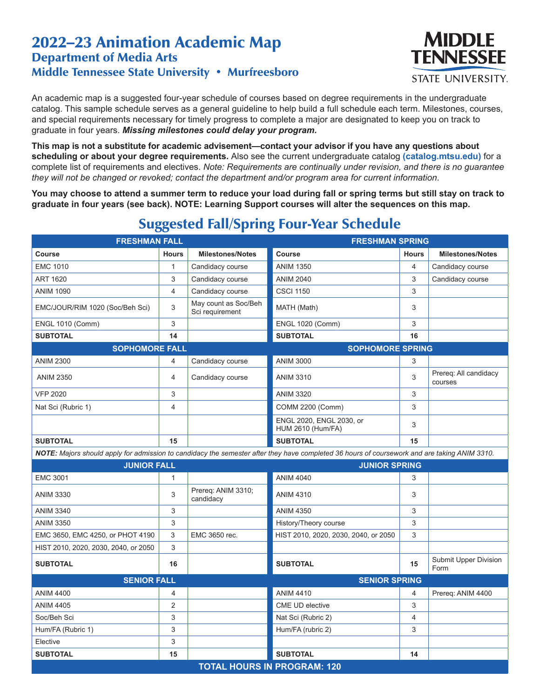## 2022–23 Animation Academic Map Department of Media Arts Middle Tennessee State University • Murfreesboro



An academic map is a suggested four-year schedule of courses based on degree requirements in the undergraduate catalog. This sample schedule serves as a general guideline to help build a full schedule each term. Milestones, courses, and special requirements necessary for timely progress to complete a major are designated to keep you on track to graduate in four years. *Missing milestones could delay your program.*

**This map is not a substitute for academic advisement—contact your advisor if you have any questions about scheduling or about your degree requirements.** Also see the current undergraduate catalog **(catalog.mtsu.edu)** for a complete list of requirements and electives. *Note: Requirements are continually under revision, and there is no guarantee they will not be changed or revoked; contact the department and/or program area for current information.*

**You may choose to attend a summer term to reduce your load during fall or spring terms but still stay on track to graduate in four years (see back). NOTE: Learning Support courses will alter the sequences on this map.**

| <b>FRESHMAN FALL</b>                                                                                                                         |              |                                         | <b>FRESHMAN SPRING</b>                               |                |                                  |  |  |  |
|----------------------------------------------------------------------------------------------------------------------------------------------|--------------|-----------------------------------------|------------------------------------------------------|----------------|----------------------------------|--|--|--|
| Course                                                                                                                                       | <b>Hours</b> | <b>Milestones/Notes</b>                 | Course                                               | <b>Hours</b>   | <b>Milestones/Notes</b>          |  |  |  |
| <b>EMC 1010</b>                                                                                                                              | $\mathbf{1}$ | Candidacy course                        | <b>ANIM 1350</b>                                     | $\overline{4}$ | Candidacy course                 |  |  |  |
| <b>ART 1620</b>                                                                                                                              | 3            | Candidacy course                        | <b>ANIM 2040</b>                                     | 3              | Candidacy course                 |  |  |  |
| <b>ANIM 1090</b>                                                                                                                             | 4            | Candidacy course                        | <b>CSCI 1150</b>                                     | 3              |                                  |  |  |  |
| EMC/JOUR/RIM 1020 (Soc/Beh Sci)                                                                                                              | 3            | May count as Soc/Beh<br>Sci requirement | MATH (Math)                                          | 3              |                                  |  |  |  |
| <b>ENGL 1010 (Comm)</b>                                                                                                                      | 3            |                                         | <b>ENGL 1020 (Comm)</b>                              | 3              |                                  |  |  |  |
| <b>SUBTOTAL</b>                                                                                                                              | 14           |                                         | <b>SUBTOTAL</b>                                      | 16             |                                  |  |  |  |
| <b>SOPHOMORE FALL</b>                                                                                                                        |              |                                         | <b>SOPHOMORE SPRING</b>                              |                |                                  |  |  |  |
| <b>ANIM 2300</b>                                                                                                                             | 4            | Candidacy course                        | <b>ANIM 3000</b>                                     | 3              |                                  |  |  |  |
| <b>ANIM 2350</b>                                                                                                                             | 4            | Candidacy course                        | <b>ANIM 3310</b>                                     | 3              | Prereq: All candidacy<br>courses |  |  |  |
| <b>VFP 2020</b>                                                                                                                              | 3            |                                         | <b>ANIM 3320</b>                                     | 3              |                                  |  |  |  |
| Nat Sci (Rubric 1)                                                                                                                           | 4            |                                         | COMM 2200 (Comm)                                     | 3              |                                  |  |  |  |
|                                                                                                                                              |              |                                         | ENGL 2020, ENGL 2030, or<br><b>HUM 2610 (Hum/FA)</b> | 3              |                                  |  |  |  |
| <b>SUBTOTAL</b>                                                                                                                              | 15           |                                         | <b>SUBTOTAL</b>                                      | 15             |                                  |  |  |  |
| NOTE: Majors should apply for admission to candidacy the semester after they have completed 36 hours of coursework and are taking ANIM 3310. |              |                                         |                                                      |                |                                  |  |  |  |
| <b>JUNIOR FALL</b>                                                                                                                           |              |                                         | <b>JUNIOR SPRING</b>                                 |                |                                  |  |  |  |
| <b>EMC 3001</b>                                                                                                                              | 1            |                                         | <b>ANIM 4040</b>                                     | 3              |                                  |  |  |  |
| <b>ANIM 3330</b>                                                                                                                             | 3            | Prereq: ANIM 3310;<br>candidacy         | <b>ANIM 4310</b>                                     | 3              |                                  |  |  |  |
| <b>ANIM 3340</b>                                                                                                                             | 3            |                                         | <b>ANIM 4350</b>                                     | 3              |                                  |  |  |  |
| <b>ANIM 3350</b>                                                                                                                             | 3            |                                         | History/Theory course                                | 3              |                                  |  |  |  |
| EMC 3650, EMC 4250, or PHOT 4190                                                                                                             | 3            | EMC 3650 rec.                           | HIST 2010, 2020, 2030, 2040, or 2050                 | 3              |                                  |  |  |  |
| HIST 2010, 2020, 2030, 2040, or 2050                                                                                                         | 3            |                                         |                                                      |                |                                  |  |  |  |
| <b>SUBTOTAL</b>                                                                                                                              | 16           |                                         | <b>SUBTOTAL</b>                                      | 15             | Submit Upper Division<br>Form    |  |  |  |
| <b>SENIOR FALL</b>                                                                                                                           |              |                                         | <b>SENIOR SPRING</b>                                 |                |                                  |  |  |  |
| <b>ANIM 4400</b>                                                                                                                             | 4            |                                         | <b>ANIM 4410</b>                                     | 4              | Prereq: ANIM 4400                |  |  |  |
| <b>ANIM 4405</b>                                                                                                                             | 2            |                                         | CME UD elective                                      | 3              |                                  |  |  |  |
| Soc/Beh Sci                                                                                                                                  | 3            |                                         | Nat Sci (Rubric 2)                                   | 4              |                                  |  |  |  |
| Hum/FA (Rubric 1)                                                                                                                            | 3            |                                         | Hum/FA (rubric 2)                                    | 3              |                                  |  |  |  |
| Elective                                                                                                                                     | 3            |                                         |                                                      |                |                                  |  |  |  |
| <b>SUBTOTAL</b>                                                                                                                              | 15           |                                         | <b>SUBTOTAL</b>                                      | 14             |                                  |  |  |  |
| <b>TOTAL HOURS IN PROGRAM: 120</b>                                                                                                           |              |                                         |                                                      |                |                                  |  |  |  |

## Suggested Fall/Spring Four-Year Schedule